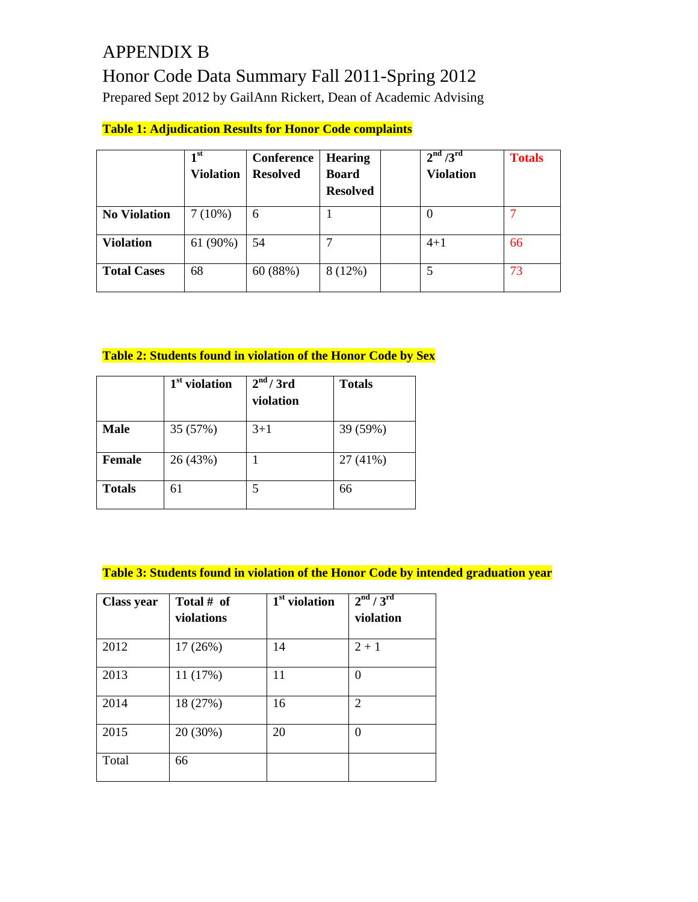# APPENDIX B Honor Code Data Summary Fall 2011-Spring 2012 Prepared Sept 2012 by GailAnn Rickert, Dean of Academic Advising

# **Table 1: Adjudication Results for Honor Code complaints**

|                     | 1 <sup>st</sup><br><b>Violation</b> | Conference<br><b>Resolved</b> | <b>Hearing</b><br><b>Board</b><br><b>Resolved</b> | 2 <sup>nd</sup> / 3 <sup>rd</sup><br><b>Violation</b> | <b>Totals</b> |
|---------------------|-------------------------------------|-------------------------------|---------------------------------------------------|-------------------------------------------------------|---------------|
| <b>No Violation</b> | $7(10\%)$                           | 6                             |                                                   | $\theta$                                              |               |
| <b>Violation</b>    | $61(90\%)$                          | 54                            |                                                   | $4 + 1$                                               | 66            |
| <b>Total Cases</b>  | 68                                  | 60 (88%)                      | 8(12%)                                            |                                                       | 73            |

#### **Table 2: Students found in violation of the Honor Code by Sex**

|               | $1st$ violation | 2 <sup>nd</sup> / 3rd<br>violation | <b>Totals</b> |
|---------------|-----------------|------------------------------------|---------------|
| <b>Male</b>   | 35 (57%)        | $3+1$                              | 39 (59%)      |
| <b>Female</b> | 26 (43%)        |                                    | 27 (41%)      |
| <b>Totals</b> | 61              | 5                                  | 66            |

#### **Table 3: Students found in violation of the Honor Code by intended graduation year**

| <b>Class year</b> | Total # of<br>violations | 1 <sup>st</sup> violation | 2 <sup>nd</sup> / 3 <sup>rd</sup><br>violation |
|-------------------|--------------------------|---------------------------|------------------------------------------------|
| 2012              | 17 (26%)                 | 14                        | $2 + 1$                                        |
| 2013              | 11 (17%)                 | 11                        | $\theta$                                       |
| 2014              | 18 (27%)                 | 16                        | $\overline{2}$                                 |
| 2015              | 20 (30%)                 | 20                        | $\theta$                                       |
| Total             | 66                       |                           |                                                |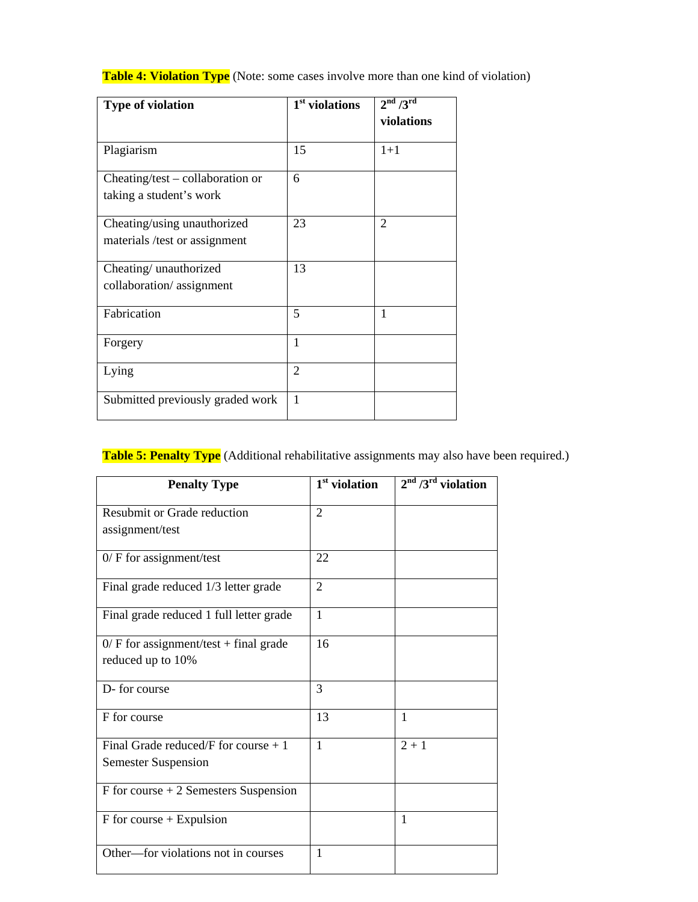| <b>Type of violation</b>                                      | 1 <sup>st</sup> violations | 2 <sup>nd</sup> / 3 <sup>rd</sup><br>violations |
|---------------------------------------------------------------|----------------------------|-------------------------------------------------|
| Plagiarism                                                    | 15                         | $1 + 1$                                         |
| $Checking-test - collaboration$ or<br>taking a student's work | 6                          |                                                 |
| Cheating/using unauthorized<br>materials /test or assignment  | 23                         | $\overline{2}$                                  |
| Cheating/unauthorized<br>collaboration/assignment             | 13                         |                                                 |
| Fabrication                                                   | 5                          | 1                                               |
| Forgery                                                       | $\mathbf{1}$               |                                                 |
| Lying                                                         | $\overline{2}$             |                                                 |
| Submitted previously graded work                              | $\mathbf{1}$               |                                                 |

#### **Table 4: Violation Type** (Note: some cases involve more than one kind of violation)

# **Table 5: Penalty Type** (Additional rehabilitative assignments may also have been required.)

| <b>Penalty Type</b>                                                 | 1 <sup>st</sup> violation | $2nd / 3rd$ violation |
|---------------------------------------------------------------------|---------------------------|-----------------------|
| Resubmit or Grade reduction<br>assignment/test                      | $\mathfrak{D}$            |                       |
| $0$ / F for assignment/test                                         | 22                        |                       |
| Final grade reduced 1/3 letter grade                                | $\mathfrak{D}$            |                       |
| Final grade reduced 1 full letter grade                             | $\mathbf{1}$              |                       |
| $0$ / F for assignment/test + final grade<br>reduced up to 10%      | 16                        |                       |
| D-for course                                                        | $\mathcal{R}$             |                       |
| F for course                                                        | 13                        | 1                     |
| Final Grade reduced/F for course $+1$<br><b>Semester Suspension</b> | $\mathbf{1}$              | $2 + 1$               |
| $F$ for course $+2$ Semesters Suspension                            |                           |                       |
| $F$ for course + Expulsion                                          |                           | $\mathbf{1}$          |
| Other—for violations not in courses                                 | 1                         |                       |